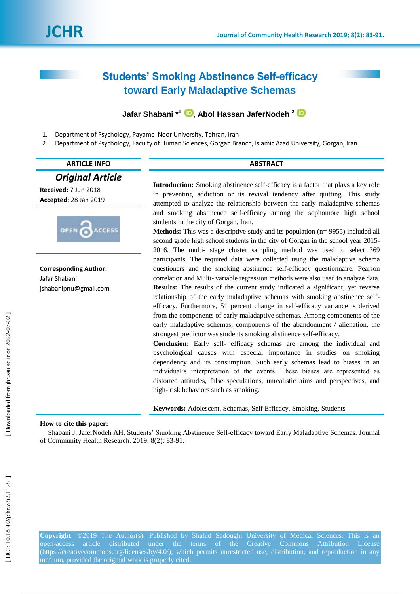# **Students' Smoking Abstinence Self-efficacy toward Early Maladaptive Schemas**

## **Jafar Shabani \*<sup>1</sup> [,](https://orcid.org/0000-0002-4453-6662) Abol Hassan JaferNodeh 2**

- 1 . Department of Psychology, Payame Noor University, Tehran, Iran
- 2 . Department of Psychology, Faculty of Human Sciences, Gorgan Branch, Islamic Azad University, Gorgan, Iran

#### **ARTICLE INFO ABSTRACT**

#### *Original Article*

**Received:**  7 Jun 2018 **Accepted:** 28 Jan 201 9



**Corresponding Author:** Jafar Shabani jshabanipnu@gmail.com

**Introduction:** Smoking abstinence self-efficacy is a factor that plays a key role in preventing addiction or its revival tendency after quitting. This study attempted to analyze the relationship between the early maladaptive schemas and smoking abstinence self -efficacy among the sophomore high school students in the city of Gorgan, Iran.

**Methods:** This was a descriptive study and its population (n= 9955) included all second grade high school students in the city of Gorgan in the school year 2015 - 2016. The multi - stage cluster sampling method was used to select 369 participants. The required data were collected using the maladaptive schema questioners and the smoking abstinence self-efficacy questionnaire. Pearson correlation and Multi - variable regression methods were also used to analyze data. **Results:** The results of the current study indicated a significant, yet reverse relationship of the early maladaptive schemas with smoking abstinence self efficacy. Furthermore, 51 percent change in self-efficacy variance is derived from the components of early maladaptive schemas. Among components of the early maladaptive schemas, components of the abandonment / alienation, the strongest predictor was students smoking abstinence self -efficacy.

**Conclusion:** Early self- efficacy schemas are among the individual and psychological causes with especial importance in studies on smoking dependency and its consumption. Such early schemas lead to biases in an individual's interpretation of the events. These biases are represented as distorted attitudes, false speculations, unrealistic aims and perspectives, and high - risk behaviors such as smoking.

**Keywords:** Adolescent, Schemas, Self Efficacy, Smoking, Students

#### **How to cite this paper:**

Shabani J, JaferNodeh AH. Students' Smoking Abstinence Self-efficacy toward Early Maladaptive Schemas. Journal of Community Health Research. 2019; 8(2): 83 -91 .

**Copyright:** ©201 9 The Author(s); Published by Shahid Sadoughi University of Medical Sciences. This is an open-access article distributed under the terms of the Creative Commons Attribution License [\(https://creativecommons.org/licenses/by/4.0/\)](https://creativecommons.org/licenses/by/4.0/), which permits unrestricted use, distribution, and reproduction in any medium, provided the original work is properly cited.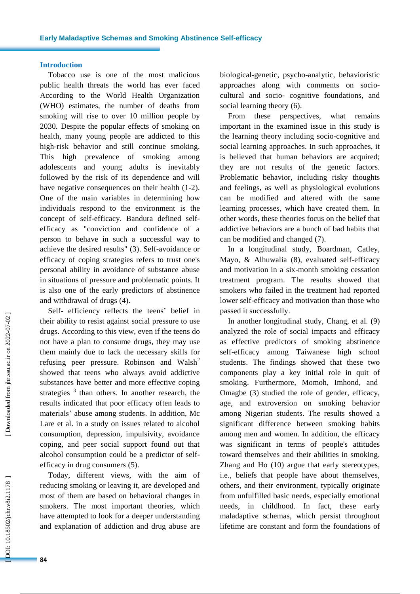#### **Introduction**

Tobacco use is one of the most malicious public health threats the world has ever faced According to the World Health Organization (WHO) estimates, the number of deaths from smoking will rise to over 10 million people by 2030 . Despite the popular effects of smoking on health, many young people are addicted to this high -risk behavior and still continue smoking. This high prevalence of smoking among adolescents and young adults is inevitably followed by the risk of its dependence and will have negative consequences on their health (1-2). One of the main variables in determining how individual s respon d to the environment is the concept of self -efficacy. Bandura define d self efficacy as "conviction and confidence of a person to behave in such a successful way to achieve the desired results" ( 3 ). Self -avoidance or efficacy of coping strategies refers to trust one's personal ability in avoidance of substance abuse in situations of pressure and problematic points. It is also one of the early predictors of abstinence and withdrawal of drugs ( 4 ) .

Self- efficiency reflects the teens' belief in their ability to resist against social pressure to use drug s. According to this view, even if the teen s do not have a plan to consume drugs, they may use them mainly due to lack the necessary skills for refusing peer pressure. Robinson and Walsh<sup>2</sup> showed that teens who always avoid addictive substances have better and more effective coping strategies  $3$  than others. In another research, the results indicated that poor efficacy often leads to materials' abuse among students . In addition, Mc Lare et al . in a study on issues related to alcohol consumption, depression, impulsivity, avoidance coping, and peer social support found out that alcohol consumption could be a predictor of self efficacy in drug consumers ( 5 ).

Today, different views , with the aim of reducing smoking or leaving it, are developed and most of them are based on behavioral change s in smokers. The most important theories , which have attempted to look for a deeper understanding and explanation of addiction and drug abuse are

biological -genetic, psycho -analytic, behavioristic approaches along with comments on sociocultural and socio - cognitive foundations, and social learning theory (6).

From these perspectives, what remains important in the examined issue in this study is the learning theory including socio-cognitive and social learning approaches. In such approaches, it is believe d that human behaviors are acquired; they are not results of the genetic factors. Problematic behavior, including risky thoughts and feelings , as well as physiological evolutions can be modified and altered with the same learning processes , which have created them. In other words, these theories focus on the belief that addictive behaviors are a bunch of bad habits that can be modified and changed (7).

In a longitudinal study, Boardman, Catley, Mayo, & Alhuwalia (8), evaluated self-efficacy and motivation in a six -month smoking cessation treatment program . The results showed that smokers who failed in the treatment had reported lower self -efficacy and motivation than those who passed it successfully .

In another longitudinal study, Chang, et al. (9) analyzed the role of social impact s and efficacy as effective predictors of smoking abstinence self -efficacy among Taiwanese high school students. The findings showed that these two components play a key initial role in quit of smoking. Furthermore, Momoh, Imhond , and Omagbe ( 3 ) studied the role of gender , efficacy, age , and extroversion on smoking behavior among Nigerian students. The results showed a significant difference between smoking habits among men and women. In addition, the efficacy was significant in terms of people's attitudes toward themselves and their abilities in smoking . Zhang and Ho (10 ) argue that early stereotypes, i.e., beliefs that people have about themselves, others , and their environment, typically originate from unfulfilled basic needs, especially emotional needs , in childhood. In fact, these early maladaptive schemas , which persist throughout lifetime are constant and form the foundations of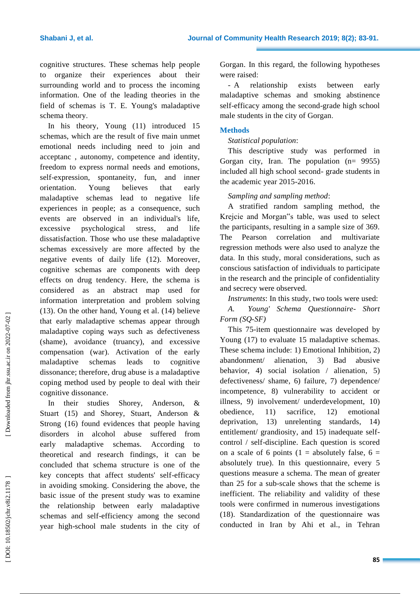cognitive structures. These schemas help people to organize their experiences about their surrounding world and to process the incoming information. One of the leading theories in the field of schemas is T. E. Young's maladaptive schema theory .

In his theory, Young (11 ) introduced 15 schemas, which are the result of five main unmet emotional needs including need to join and acceptanc , autonomy, competence and identity, freedom to express normal needs and emotions, self -expression, spontaneity , fun , and inner orientation. Young believes that early maladaptive schemas lead to negative life experiences in people; as a consequence, such events are observed in an individual's life, excessive psychological stress , and life dissatisfaction. Those who use these maladaptive schemas excessively are more affected by the negative events of daily life ( 1 2 ). Moreover, cognitive schemas are components with deep effects on drug tendency. Here, the schema is considered as an abstract map used for information interpretation and problem solving (13). On the other hand, Young et al. (14) believe that early maladaptive schemas appear through maladaptive coping ways such as defectiveness (shame), avoidance (truancy), and excessive compensation (war). Activation of the early maladaptive schemas leads to cognitive dissonance; therefore, drug abuse is a maladaptive coping method used by people to deal with their cognitive dissonance .

In their studies Shorey, Anderson, & Stuart (15) and Shorey, Stuart, Anderson & Strong (16 ) found evidence s that people having disorders in alcohol abuse suffered from early maladaptive schemas. According to theoretical and research findings, it can be concluded that schema structure is one of the key concepts that affect students' self -efficacy in avoiding smoking. Considering the above, the basic issue of the present study was to examine the relationship between early maladaptive schemas and self -efficiency among the second year high -school male students i n the city of Gorgan. In this regard, the following hypotheses were raised :

 relationship exists between early maladaptive schemas and smoking abstinence self -efficacy among the second -grade high school male students in the city of Gorgan .

#### **Methods**

#### *Statistical population* :

This descriptive study was performed in Gorgan city, Iran. The population (n= 9955) included all high school second - grade students in the academic year 2015 -2016.

*Sampling and sampling method* :

A stratified random sampling method, the Krejcie and Morgan"s table, was used to select the participants, resulting in a sample size of 369. The Pearson correlation and multivariate regression methods were also used to analyze the data . In this study, moral considerations, such as conscious satisfaction of individuals to participate in the research and the principle of confidentiality and secrecy were observed.

*Instruments*: In this study, two tools were used:

*A. Young' Schema Questionnaire - Short Form (SQ -SF)*

This 75 -item questionnaire was developed by Young (17) to evaluate 15 maladaptive schemas. These schema include : 1) Emotional Inhibition , 2)  $ab$ andonment/ alienation. 3 ) Bad abusive behavior, 4) social isolation / alienation, 5) defectiveness/ shame, 6) failure, 7) dependence/ incompetence , 8 ) vulnerability to accident or illness, 9) involvement/ underdevelopment, 10) obedience , 11 sacrifice.  $12)$ ) emotional deprivation , 13 ) unrelenting standards , 14) entitlement/ grandiosity, and 15) inadequate selfcontrol / self -discipline . Each question is scored on a scale of 6 points ( $1 =$  absolutely false,  $6 =$ absolutely true). In this questionnaire, every 5 questions measure a schema. The mean of greater than 25 for a sub -scale shows that the scheme is inefficient. The reliability and validity of these tools were confirmed in numerous investigations (18). Standardization of the questionnaire was conducted in Iran by Ahi et al., i n Tehran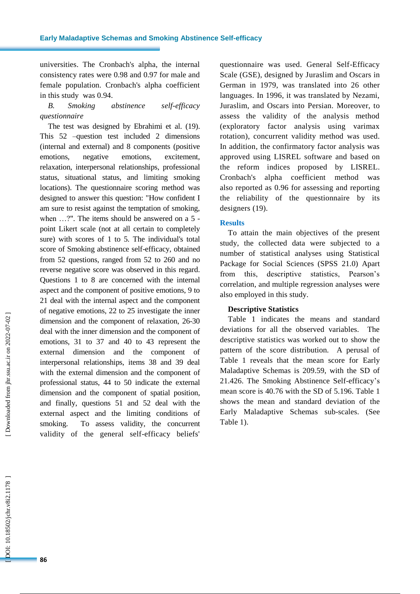universities . The Cronbach's alpha , the internal consistency rates were 0.98 and 0.97 for male and female population. Cronbach's alpha coefficient in this study was 0.94.

### *B. Smoking abstinence self-efficacy questionnaire*

The test was designed by Ebrahimi et al. (19). This 52 –question test included 2 dimensions (internal and external) and 8 components (positive emotions, negative emotions, excitement, relaxation, interpersonal relationships, professional status, situational status, and limiting smoking locations). The questionnaire scoring method was designed to answer this question: " How confident I am sure to resist against the temptation of smoking, when ...?". The items should be answered on a 5 point Likert scale (not at all certain to completely sure) with score s of 1 to 5. The individual's total score of Smoking abstinence self-efficacy, obtained from 52 questions, ranged from 52 to 260 and no reverse negative score was observed in this regard . Questions 1 to 8 are concerned with the internal aspect and the component of positive emotions, 9 to 21 deal with the internal aspect a nd the component of negative emotions, 22 to 25 investigate the inner dimension and the component of relaxation, 26 -30 deal with the inner dimension and the component of emotions, 31 to 37 and 40 to 43 represent the external dimension and the component of interpersonal relationships, items 38 and 39 deal with the external dimension and the component of professional status, 44 to 50 indicate the external dimension and the component of spatial position, and finally, questions 51 and 52 deal with the external aspect and the limiting conditions of smoking. To assess validity, the concurrent validity of the general self -efficacy beliefs'

questionnaire was used. General Self -Efficacy Scale (GSE), designed by Juraslim and Oscars in German in 1979, was translated into 26 other languages. In 1996, it was translated by Nezami, Juraslim , and Oscars into Persian. Moreover, to assess the validity of the analysis method (exploratory factor analysis using varimax rotation) , concurrent validity method was used. In addition , the confirmatory factor analysis was approved using LISREL software and based on the reform indices proposed by LISREL. Cronbach's alpha coefficient method was also reported as 0.96 for assessing and reporting the reliability of the questionnaire by its designers (19).

#### **Results**

To attain the main objectives of the present study, the collected data were subjected to a number of statistical analyses using Statistical Package for Social Sciences (SPSS 21.0) Apart from this, descriptive statistics, Pearson's correlation , and multiple regression analyses were also employed in this study.

#### **Descriptive Statistics**

Table 1 indicates the means and standard deviations for all the observed variables. The descriptive statistics was worked out to show the pattern of the score distribution. A perusal of Table 1 reveals that the mean score for Early Maladaptive Schemas is 209.59, with the SD of 21.426. The Smoking Abstinence Self -efficacy's mean score is 40.76 with the SD of 5.196. Table 1 shows the mean and standard deviation of the Early Maladaptive Schema s sub -scales. (See Table 1) .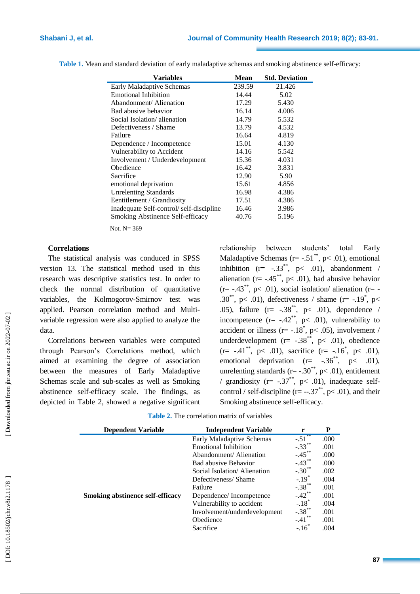| <b>Mean</b> | <b>Std. Deviation</b> |
|-------------|-----------------------|
| 239.59      | 21.426                |
| 14.44       | 5.02                  |
| 17.29       | 5.430                 |
| 16.14       | 4.006                 |
| 14.79       | 5.532                 |
| 13.79       | 4.532                 |
| 16.64       | 4.819                 |
| 15.01       | 4.130                 |
| 14.16       | 5.542                 |
| 15.36       | 4.031                 |
| 16.42       | 3.831                 |
| 12.90       | 5.90                  |
| 15.61       | 4.856                 |
| 16.98       | 4.386                 |
| 17.51       | 4.386                 |
| 16.46       | 3.986                 |
| 40.76       | 5.196                 |
|             |                       |

Table 1. Mean and standard deviation of early maladaptive schemas and smoking abstinence self-efficacy:

Not. N= 369

#### **Correlations**

The statistical analysis was conduced in SPSS version 13. The statistical method used in this research was descriptive statistics test. In order to check the normal distribution of quantitative variables , the Kolmogorov -Smirnov test was applied. Pearson correlation method and Multi variable regression were also applied to analyze the data .

Correlations between variables were computed through Pearson's Correlations method, which aimed at examining the degree of association between the measures of Early Maladaptive Schema s scale and sub -scales as well as Smoking abstinence self-efficacy scale. The findings , as depicted in Table 2 , showed a negative significant relationship between students' total Early Maladaptive Schemas ( $r = -.51^{**}$ ,  $p < .01$ ), emotional inhibition  $(r= -.33^{**}, p< .01)$ , abandonment / alienation ( $r = -0.45$ , p< 0.01), bad abusive behavior  $(r=-.43^{**}, p<.01)$ , social isolation/alienation  $(r=$ .30<sup>\*\*</sup>, p< .01), defectiveness / shame (r= -.19<sup>\*</sup>, p< .05), failure  $(r = -.38^{**}, p < .01)$ , dependence / incompetence  $(r= -.42^{**}, p< .01)$ , vulnerability to accident or illness ( $r = -18^*$ ,  $p < .05$ ), involvement / underdevelopment ( $r = -.38$ <sup>\*\*</sup>,  $p < .01$ ), obedience  $(r= -.41^{**}, p< .01)$ , sacrifice  $(r= -.16^{*}, p< .01)$ , emotional deprivation  $(r=-.36^{**}, p<-.01)$ , unrelenting standards ( $r = -.30^{**}$ ,  $p < .01$ ), entitlement / grandiosity ( $r = -.37^{**}$ ,  $p < .01$ ), inadequate selfcontrol / self-discipline (r=  $-.37^*$ , p< .01), and their Smoking abstinence self-efficacy.

| <b>Dependent Variable</b>               | <b>Independent Variable</b>  | r                    | P    |
|-----------------------------------------|------------------------------|----------------------|------|
|                                         | Early Maladaptive Schemas    | $-.51$ <sup>*</sup>  | .000 |
|                                         | <b>Emotional Inhibition</b>  | $-.33***$            | .001 |
|                                         | Abandonment/Alienation       | $-.45***$            | .000 |
|                                         | Bad abusive Behavior         | $-.43***$            | .000 |
|                                         | Social Isolation/Alienation  | $-.30^{**}$          | .002 |
|                                         | Defectiveness/Shame          | $-.19*$              | .004 |
|                                         | Failure                      | $-.38***$            | .001 |
| <b>Smoking abstinence self-efficacy</b> | Dependence/Incompetence      | $-.42$ **            | .001 |
|                                         | Vulnerability to accident    | $-.18$ <sup>*</sup>  | .004 |
|                                         | Involvement/underdevelopment | $-.38$ <sup>**</sup> | .001 |
|                                         | Obedience                    | $-.41$               | .001 |
|                                         | Sacrifice                    | $-16$                | .004 |

**Table 2 .** The correlation matrix of variables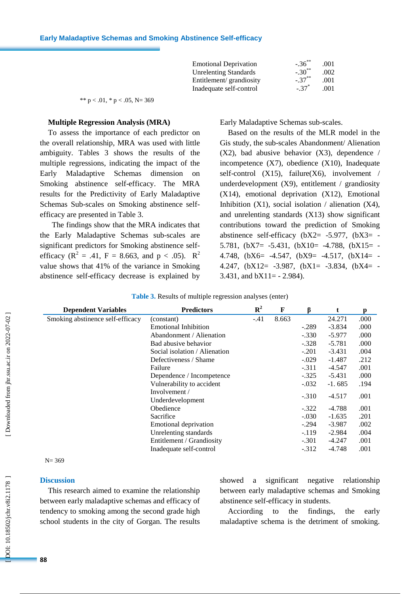| <b>Emotional Deprivation</b> | $-.36***$           | .001 |
|------------------------------|---------------------|------|
| <b>Unrelenting Standards</b> | $-.30^{**}$         | .002 |
| Entitlement/grandiosity      | $-.37***$           | .001 |
| Inadequate self-control      | $-.37$ <sup>*</sup> | .001 |

\*\*  $p < .01$ , \*  $p < .05$ , N= 369

#### **Multiple Regression Analysis (MRA)**

To assess the importance of each predictor on the overall relationship , MRA was used with little ambiguity. Tables 3 show s the results of the multiple regressions, indicating the impact of the Early Maladaptive Schema dimension on Smoking abstinence self-efficacy. The MRA results for the Predictivity of Early Maladaptive Schema s Sub -scales on Smoking abstinence self efficacy are presented in Table 3.

 The findings show that the MRA indicates that the Early Maladaptive Schema s sub -scales are significant predictors for Smoking abstinence self efficacy ( $R^2 = .41$ ,  $F = 8.663$ , and  $p < .05$ ).  $R^2$ value shows that 4 1% of the variance in Smoking abstinence self-efficacy decrease is explained by

Early Maladaptive Schema s sub -scales.

Based on the results of the MLR model in the Gis study, the sub -scales Abandonment/ Alienation (X2), bad abusive behavior (X 3), dependence / incompetence (X 7), obedience (X10), Inadequate self-control (X15), failure(X6), involvement / underdevelopment (X 9), entitlement / grandiosity (X14), emotional deprivation (X12), Emotional Inhibition (X1), social isolation / alienation (X4), and unrelenting standards (X13) show significant contributions toward the prediction of Smoking abstinence self-efficacy  $(bX2 = -5.977, (bX3 = -5.977))$ 5.781,  $(bX7 = -5.431, (bX10 = -4.788, (bX15 = -5.431, (cX16 = -4.788, (dX15 = -5.431, (eX16 = -4.788, (fX16 = -4.788, (fX16 = -4.788, (fX16 = -4.788, (fX16 = -4.788, (gX16 = -4.788, (hX16 = -4.788, (hX16 = -4.788, (hX16 = -4.788, (hX16 = -4.788, (hX16 = -4.788, (hX16 = -$ 4.748,  $(bX6= -4.547, (bX9= -4.517, (bX14= -4.517))$ 4.247,  $(bX12 = -3.987, (bX1 = -3.834, (bX4 = -3.834))$ 3.431, and  $bX11 = -2.984$ ).

| <b>Dependent Variables</b>       | <b>Predictors</b>             | $\mathbf{R}^2$ | F     |         |          | р    |
|----------------------------------|-------------------------------|----------------|-------|---------|----------|------|
| Smoking abstinence self-efficacy | (constant)                    | $-.41$         | 8.663 |         | 24.271   | .000 |
|                                  | <b>Emotional Inhibition</b>   |                |       | $-.289$ | $-3.834$ | .000 |
|                                  | Abandonment / Alienation      |                |       | $-.330$ | $-5.977$ | .000 |
|                                  | Bad abusive behavior          |                |       | $-.328$ | $-5.781$ | .000 |
|                                  | Social isolation / Alienation |                |       | $-.201$ | $-3.431$ | .004 |
|                                  | Defectiveness / Shame         |                |       | $-.029$ | $-1.487$ | .212 |
|                                  | Failure                       |                |       | $-.311$ | $-4.547$ | .001 |
|                                  | Dependence / Incompetence     |                |       | $-.325$ | -5.431   | .000 |
|                                  | Vulnerability to accident     |                |       | $-.032$ | $-1.685$ | .194 |
|                                  | Involvement /                 |                |       | $-.310$ | $-4.517$ | .001 |
|                                  | Underdevelopment              |                |       |         |          |      |
|                                  | Obedience                     |                |       | $-.322$ | $-4.788$ | .001 |
|                                  | Sacrifice                     |                |       | $-.030$ | $-1.635$ | .201 |
|                                  | Emotional deprivation         |                |       | $-.294$ | $-3.987$ | .002 |
|                                  | Unrelenting standards         |                |       | $-.119$ | $-2.984$ | .004 |
|                                  | Entitlement / Grandiosity     |                |       | $-.301$ | -4.247   | .001 |
|                                  | Inadequate self-control       |                |       | $-.312$ | $-4.748$ | .001 |

|  |  | <b>Table 3.</b> Results of multiple regression analyses (enter) |  |
|--|--|-----------------------------------------------------------------|--|
|  |  |                                                                 |  |

 $N = 369$ 

#### **Discussion**

This research aimed to examine the relationship between early maladaptive schemas and efficacy of tendency to smoking among the second grade high school students in the city of Gorgan. The results showed a significant negative relationship between early maladaptive schemas and Smoking abstinence self-efficacy in students.

Acciording to the findings, the early maladaptive schema is the detriment of smoking.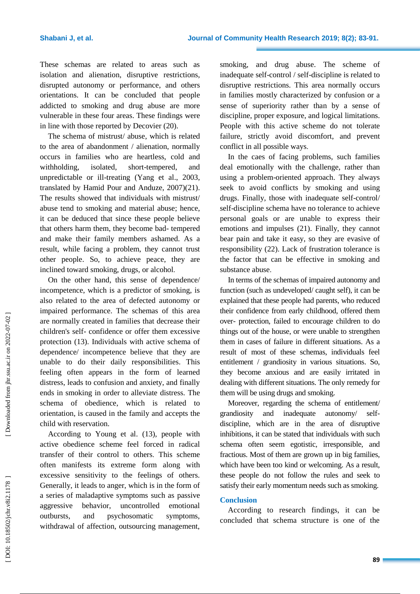These schemas are related to areas such as isolation and alienation, disruptive restrictions , disrupted autonomy or performance , and others orientation s. It can be concluded that people addicted to smoking and drug abuse are more vulnerable in these four areas. These findings were in line with those reported by Decovier (20).

The schema of mistrust/ abuse , which is related to the area of abandonment / alienation, normally occur s in families who are heartless, cold and  $with **holding**$  isolated short-tempered, and unpredictable or ill -treating (Yan g et al., 2003, translated by Hamid Pour and Anduze, 2007)(21). The results showed that individuals with mistrust/ abuse tend to smoking and material abuse; hence, it can be deduced that since these people believe that others harm them, they become bad - tempered and make their family members ashamed. As a result, while facing a problem, they cannot trust other people. So, to achieve peace, they are inclined toward smoking, drugs , or alcoho l .

On the other hand, this sense of dependence/ incompetence , which is a predictor of smoking , is also related to the area of defected autonomy or impaired performance. The schemas of this area are normally created in families that decrease their children's self- confidence or offer them excessive protection (13 ). Individuals with active schema of dependence/ incompetence believe that they are unable to do their daily responsibilities. This feeling often appears in the form of learned distress , leads to confusion and anxiety, and finally ends in smoking in order to alleviate distress. The schema of obedience, which is related to orientatio n , is caused in the family and accept s the child with reservation.

According to Young et al. (13 ), people with active obedience scheme feel forced in radical transfer of their control to others . This scheme often manifest s its extreme form along with excessive sensitivity to the feelings of others. Generally, it leads to anger, which is in the form of a series of maladaptive symptoms such as passive aggressive behavior, uncontrolled emotional outbursts, and psychosomatic symptoms, withdrawal of affection, outsourcing management,

smoking , and drug abuse. The scheme of inadequate self-control / self-discipline is related to disruptive restrictions. This area normally occur s in families mostly characterized by confusion or a sense of superiority rather than by a sense of discipline, proper exposure, and logical limitations. People with this active scheme do not tolerate failure , strictly avoid discomfort , and prevent conflict in all possible way s .

In the caes of facing problems, such families deal emotionally with the challenge, rather than using a problem -oriented approach. They always seek to avoid conflicts by smoking and using drug s. Finally, those with inadequate self-control/ self-discipline schema have no tolerance to achieve personal goals or are unable to express their emotions and impulses (21 ). Finally, they cannot bear pain and take it easy, so they are evasive of responsibility (22 ). Lack of frustration tolerance is the factor that can be effective in smoking and substance abuse .

In terms of the schemas of impaired autonomy and function (such as undeveloped/ caught self), it can be explained that these people had parents , who reduced their confidence from early childhood, offered them over - protection, failed to encourage children to do things out of the house , or were unable to strengthen them in cases of failure in different situations. As a result of most of these schemas, individuals feel entitlement / grandiosity in various situations. So, they become anxious and are easily irritated in dealing with different situations. The only remedy for them will be using drugs and smoking.

Moreover, regarding the schema of entitlement/ grandiosity and inadequate autonomy/ selfdiscipline, which are in the area of disruptive inhibitions, it can be stated that individuals with such schema often seem egotistic, irresponsible, and fractious. Most of them are grown up in big families , which have been too kind or welcoming. As a result, these people do not follow the rules and seek to satisfy their early momentum needs such as smoking.

#### **Conclusion**

According to research findings, it can be concluded that schema structure is one of the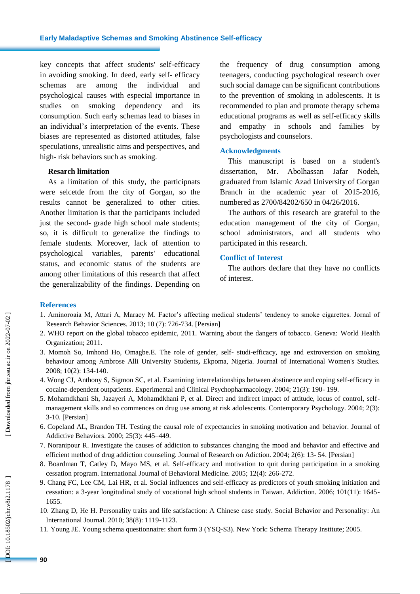key concepts that affect students' self -efficacy in avoiding smoking. In deed, early self- efficacy schemas are among the individual and psychological causes with especial importance in studies on smoking dependency and consumption. Such early schemas lead to biases in an individual's interpretation of the events. These biases are represented as distorted attitudes, false speculations, unrealistic aims and perspectives, and high - risk behaviors such as smoking.

#### **Resarch limitation**

As a limitation of this study, the participnats were selcetde from the city of Gorgan, so the results cannot be generalized to other cities. Another limitation is that the participants included just the second- grade high school male students; so , it is difficult to generalize the findings to female students. Moreover, lack of attention to psychological variables, parents' educational status , and economic status of the students are among other limitations of this research that affect the generalizability of the findings. Depending on

the frequency of drug consumption among teenagers, conducting psychological research over such social damage can be significant contributions to the prevention of smoking in adolescents. It is recommended to plan and promote therapy schema educational programs as well as self -efficacy skills and empathy in schools and families by psychologists and counselors .

#### **Acknowledgments**

This manuscript is based on a student's dissertation, Mr. Abolhassan Jafar Nodeh, graduated from Islamic Azad University of Gorgan Branch in the academic year of 2015 -2016, numbered as 2700/84202/650 in 04/26/2016.

The authors of this research are grateful to the education management of the city of Gorgan, school administrators , and all students who participated in this research .

#### **Conflict of Interest**

The authors declare that they have no conflicts of interest.

#### **References**

- 1. Aminoroaia M, Attari A, Maracy M. Factor's affecting medical students' tendency to smoke cigarettes. Jornal of Research Behavior Sciences. 2013; 10 (7): 726 -734. [Persian]
- 2. WHO report on the global tobacco epidemic, 2011. Warning about the dangers of tobacco. Geneva: World Health Organization; 2011.
- 3. Momoh S o, Imhond H o , Omagbe.E. The role of gender, self studi -efficacy, age and extroversion on smoking behaviour among Ambrose Alli University Students**,** Ekpoma, Nigeria. Journal of International Women's Studies. 2008; 10(2): 134 -140.
- 4. Wong CJ, Anthony S, Sigmon SC, et al. Examining interrelationships between abstinence and coping self -efficacy in cocaine -dependent outpatients. Experimental and Clinical Psychopharmacology. 2004; 21(3): 190 - 199.
- 5. Mohamdkhani Sh, Jazayeri A, Mohamdkhani P, et al. Direct and indirect impact of attitude, locus of control, self management skills and so commences on drug use among at risk adolescents. Contemporary Psychology. 2004; 2(3): 3-10. [Persian]
- 6. Copeland AL, Brandon TH. Testing the causal role of expectancies in smoking motivation and behavior. Journal of Addictive Behaviors. 2000; 25(3): 445 –449.
- 7. Noranipour R. Investigate the causes of addiction to substances changing the mood and behavior and effective and efficient method of drug addiction counseling. Journal of Research on Adiction. 2004; 2(6): 13-54. [Persian]
- 8. Boardman T, Catley D, Mayo MS, et al. Self-efficacy and motivation to quit during participation in a smoking cessation program. International Journal of Behavioral Medicine. 2005; 12(4): 266 -272.
- 9. Chang FC, Lee CM, Lai HR, et al. Social influences and self -efficacy as predictors of youth smoking initiation and cessation: a 3 -year longitudinal study of vocational high school students in Taiwan. Addiction. 2006; 101(11): 1645 - 1655.
- 10. Zhang D, He H. Personality traits and life satisfaction: A Chinese case study. Social Behavior and Personality: An International Journal. 2010; 38(8): 1119 -1123.
- 11. Young JE. Young schema questionnaire : short form 3 (YSQ -S3). New York: Schema Therapy Institute ; 2005.